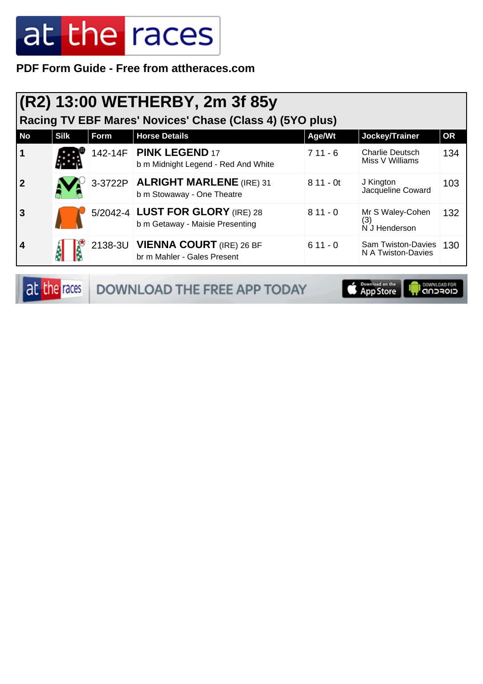**PDF Form Guide - Free from attheraces.com**

| (R2) 13:00 WETHERBY, 2m 3f 85y<br>Racing TV EBF Mares' Novices' Chase (Class 4) (5YO plus) |             |             |                                                                     |            |                                                 |           |  |
|--------------------------------------------------------------------------------------------|-------------|-------------|---------------------------------------------------------------------|------------|-------------------------------------------------|-----------|--|
| <b>No</b>                                                                                  | <b>Silk</b> | <b>Form</b> | <b>Horse Details</b>                                                | Age/Wt     | Jockey/Trainer                                  | <b>OR</b> |  |
| $\overline{\mathbf{1}}$                                                                    |             |             | 142-14F   PINK LEGEND 17<br>b m Midnight Legend - Red And White     | $711 - 6$  | <b>Charlie Deutsch</b><br>Miss V Williams       | 134       |  |
| $\overline{\mathbf{2}}$                                                                    |             |             | 3-3722P ALRIGHT MARLENE (IRE) 31<br>b m Stowaway - One Theatre      | $811 - 0t$ | J Kington<br>Jacqueline Coward                  | 103       |  |
| $\overline{\mathbf{3}}$                                                                    |             |             | 5/2042-4 LUST FOR GLORY (IRE) 28<br>b m Getaway - Maisie Presenting | $811 - 0$  | Mr S Waley-Cohen<br>(3)<br>N J Henderson        | 132       |  |
| $\overline{4}$                                                                             |             |             | 2138-3U VIENNA COURT (IRE) 26 BF<br>br m Mahler - Gales Present     | $611 - 0$  | <b>Sam Twiston-Davies</b><br>N A Twiston-Davies | 130       |  |

| at the races | <b>DOWNLOAD THE FREE APP TODAY</b> | <b>App Store   Procession Control</b> CONNUGAD FOR |  |
|--------------|------------------------------------|----------------------------------------------------|--|
|--------------|------------------------------------|----------------------------------------------------|--|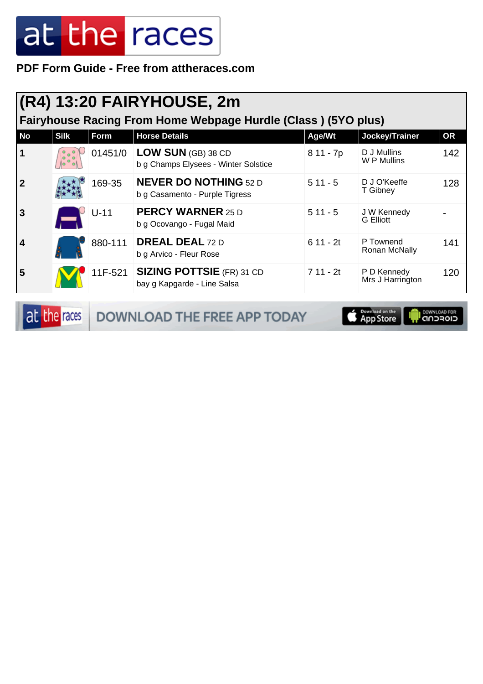**PDF Form Guide - Free from attheraces.com**

|           | (R4) 13:20 FAIRYHOUSE, 2m<br>Fairyhouse Racing From Home Webpage Hurdle (Class) (5YO plus) |         |                                                                   |            |                                 |           |  |  |
|-----------|--------------------------------------------------------------------------------------------|---------|-------------------------------------------------------------------|------------|---------------------------------|-----------|--|--|
| <b>No</b> | <b>Silk</b>                                                                                | Form    | <b>Horse Details</b>                                              | Age/Wt     | Jockey/Trainer                  | <b>OR</b> |  |  |
| 1         |                                                                                            | 01451/0 | <b>LOW SUN (GB) 38 CD</b><br>b g Champs Elysees - Winter Solstice | 8 11 - 7p  | D J Mullins<br>W P Mullins      | 142       |  |  |
|           |                                                                                            | 169-35  | <b>NEVER DO NOTHING 52 D</b><br>b g Casamento - Purple Tigress    | $511 - 5$  | D J O'Keeffe<br>T Gibney        | 128       |  |  |
| 3         |                                                                                            | $U-11$  | <b>PERCY WARNER 25 D</b><br>b g Ocovango - Fugal Maid             | $511 - 5$  | J W Kennedy<br><b>G</b> Elliott |           |  |  |
| 4         |                                                                                            | 880-111 | <b>DREAL DEAL 72 D</b><br>b g Arvico - Fleur Rose                 | $611 - 2t$ | P Townend<br>Ronan McNally      | 141       |  |  |
| 5         |                                                                                            | 11F-521 | <b>SIZING POTTSIE (FR) 31 CD</b><br>bay g Kapgarde - Line Salsa   | 7 11 - 2t  | P D Kennedy<br>Mrs J Harrington | 120       |  |  |

at the races DOWNLOAD THE FREE APP TODAY



**OOWNLOAD FOR**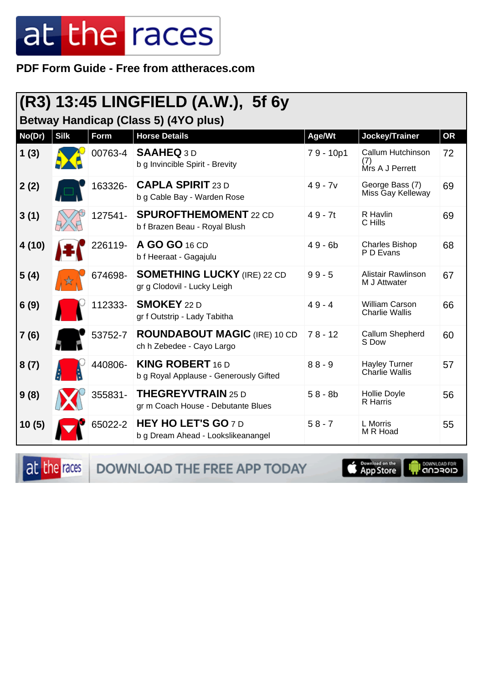PDF Form Guide - Free from attheraces.com

|        |                                             |         | $ (R3)$ 13:45 LINGFIELD (A.W.), 5f 6y                             |           |                                                |           |  |  |
|--------|---------------------------------------------|---------|-------------------------------------------------------------------|-----------|------------------------------------------------|-----------|--|--|
|        | <b>Betway Handicap (Class 5) (4YO plus)</b> |         |                                                                   |           |                                                |           |  |  |
| No(Dr) | <b>Silk</b>                                 | Form    | <b>Horse Details</b>                                              | Age/Wt    | Jockey/Trainer                                 | <b>OR</b> |  |  |
| 1(3)   |                                             | 00763-4 | <b>SAAHEQ 3D</b><br>b g Invincible Spirit - Brevity               | 79 - 10p1 | Callum Hutchinson<br>(7)<br>Mrs A J Perrett    | 72        |  |  |
| 2(2)   |                                             | 163326- | <b>CAPLA SPIRIT 23 D</b><br>b g Cable Bay - Warden Rose           | $49 - 7v$ | George Bass (7)<br>Miss Gay Kelleway           | 69        |  |  |
| 3(1)   |                                             | 127541- | <b>SPUROFTHEMOMENT 22 CD</b><br>b f Brazen Beau - Royal Blush     | $49 - 7t$ | R Havlin<br>C Hills                            | 69        |  |  |
| 4(10)  |                                             | 226119- | A GO GO 16 CD<br>b f Heeraat - Gagajulu                           | $49 - 6b$ | <b>Charles Bishop</b><br>P D Evans             | 68        |  |  |
| 5(4)   |                                             | 674698- | <b>SOMETHING LUCKY (IRE) 22 CD</b><br>gr g Clodovil - Lucky Leigh | $99 - 5$  | Alistair Rawlinson<br>M J Attwater             | 67        |  |  |
| 6(9)   |                                             | 112333- | <b>SMOKEY</b> 22 D<br>gr f Outstrip - Lady Tabitha                | $49 - 4$  | <b>William Carson</b><br><b>Charlie Wallis</b> | 66        |  |  |
| 7(6)   |                                             | 53752-7 | <b>ROUNDABOUT MAGIC (IRE) 10 CD</b><br>ch h Zebedee - Cayo Largo  | $78 - 12$ | Callum Shepherd<br>S Dow                       | 60        |  |  |
| 8(7)   |                                             | 440806- | <b>KING ROBERT 16 D</b><br>b g Royal Applause - Generously Gifted | $88 - 9$  | <b>Hayley Turner</b><br>Charlie Wallis         | 57        |  |  |
| 9(8)   |                                             | 355831- | <b>THEGREYVTRAIN 25 D</b><br>gr m Coach House - Debutante Blues   | $58 - 8b$ | Hollie Doyle<br>R Harris                       | 56        |  |  |
| 10(5)  |                                             | 65022-2 | <b>HEY HO LET'S GO 7D</b><br>b g Dream Ahead - Lookslikeanangel   | $58 - 7$  | L Morris<br>M R Hoad                           | 55        |  |  |

at the races

DOWNLOAD THE FREE APP TODAY

**E** Download on the

**I DOWNLOAD FOR**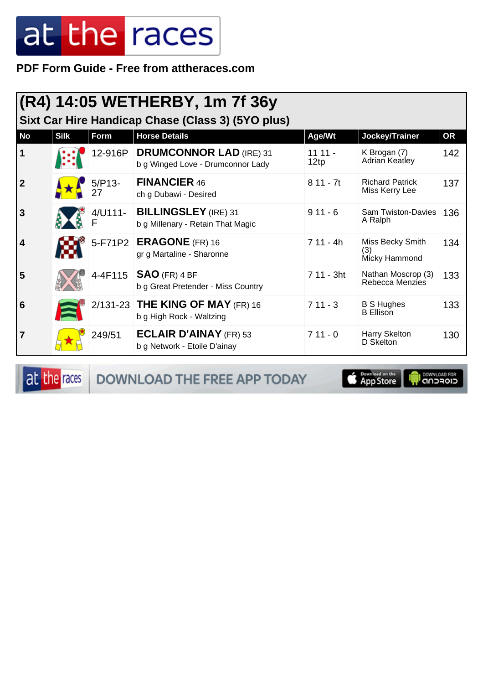PDF Form Guide - Free from attheraces.com

|                | (R4) 14:05 WETHERBY, 1m 7f 36y<br>Sixt Car Hire Handicap Chase (Class 3) (5YO plus) |                |                                                                     |                  |                                              |           |  |  |
|----------------|-------------------------------------------------------------------------------------|----------------|---------------------------------------------------------------------|------------------|----------------------------------------------|-----------|--|--|
| <b>No</b>      | <b>Silk</b>                                                                         | Form           | <b>Horse Details</b>                                                | Age/Wt           | Jockey/Trainer                               | <b>OR</b> |  |  |
| $\mathbf 1$    |                                                                                     | 12-916P        | <b>DRUMCONNOR LAD (IRE) 31</b><br>b g Winged Love - Drumconnor Lady | $1111 -$<br>12tp | K Brogan (7)<br>Adrian Keatley               | 142       |  |  |
| $\overline{2}$ |                                                                                     | $5/P13-$<br>27 | <b>FINANCIER 46</b><br>ch g Dubawi - Desired                        | $811 - 7t$       | <b>Richard Patrick</b><br>Miss Kerry Lee     | 137       |  |  |
| $\mathbf{3}$   |                                                                                     | 4/U111-        | <b>BILLINGSLEY</b> (IRE) 31<br>b g Millenary - Retain That Magic    | $911 - 6$        | <b>Sam Twiston-Davies</b><br>A Ralph         | 136       |  |  |
| 4              |                                                                                     |                | 5-F71P2 <b>ERAGONE</b> (FR) 16<br>gr g Martaline - Sharonne         | 7 11 - 4h        | Miss Becky Smith<br>(3)<br>Micky Hammond     | 134       |  |  |
| 5              |                                                                                     |                | 4-4F115   $SAO$ (FR) 4 BF<br>b g Great Pretender - Miss Country     | 7 11 - 3ht       | Nathan Moscrop (3)<br><b>Rebecca Menzies</b> | 133       |  |  |
| 6              |                                                                                     |                | 2/131-23 THE KING OF MAY (FR) 16<br>b g High Rock - Waltzing        | $711 - 3$        | <b>B S Hughes</b><br><b>B</b> Ellison        | 133       |  |  |
| $\overline{7}$ |                                                                                     | 249/51         | <b>ECLAIR D'AINAY (FR) 53</b><br>b g Network - Etoile D'ainay       | $711 - 0$        | Harry Skelton<br>D Skelton                   | 130       |  |  |

at the races

DOWNLOAD THE FREE APP TODAY

App Store UT.

**OWNLOAD FOR**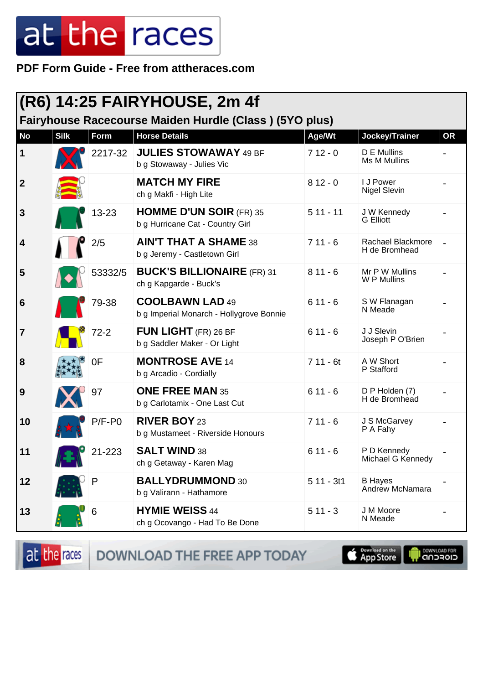PDF Form Guide - Free from attheraces.com

| (R6) 14:25 FAIRYHOUSE, 2m 4f |             |          |                                                                                |                     |                                               |           |  |
|------------------------------|-------------|----------|--------------------------------------------------------------------------------|---------------------|-----------------------------------------------|-----------|--|
| <b>No</b>                    | <b>Silk</b> | Form     | Fairyhouse Racecourse Maiden Hurdle (Class) (5YO plus)<br><b>Horse Details</b> |                     |                                               | <b>OR</b> |  |
| $\mathbf 1$                  |             | 2217-32  | <b>JULIES STOWAWAY 49 BF</b><br>b g Stowaway - Julies Vic                      | Age/Wt<br>$712 - 0$ | Jockey/Trainer<br>D E Mullins<br>Ms M Mullins |           |  |
| $\boldsymbol{2}$             |             |          | <b>MATCH MY FIRE</b><br>ch g Makfi - High Lite                                 | $812 - 0$           | I J Power<br><b>Nigel Slevin</b>              |           |  |
| 3                            |             | 13-23    | <b>HOMME D'UN SOIR (FR) 35</b><br>b g Hurricane Cat - Country Girl             | $511 - 11$          | J W Kennedy<br><b>G</b> Elliott               |           |  |
| 4                            |             | 2/5      | <b>AIN'T THAT A SHAME 38</b><br>b g Jeremy - Castletown Girl                   | $711 - 6$           | Rachael Blackmore<br>H de Bromhead            |           |  |
| 5                            |             | 53332/5  | <b>BUCK'S BILLIONAIRE (FR) 31</b><br>ch g Kapgarde - Buck's                    | $811 - 6$           | Mr P W Mullins<br>W P Mullins                 |           |  |
| $6\phantom{1}6$              |             | 79-38    | <b>COOLBAWN LAD 49</b><br>b g Imperial Monarch - Hollygrove Bonnie             | $611 - 6$           | S W Flanagan<br>N Meade                       |           |  |
| 7                            |             | $72 - 2$ | <b>FUN LIGHT</b> (FR) 26 BF<br>b g Saddler Maker - Or Light                    | $611 - 6$           | J J Slevin<br>Joseph P O'Brien                |           |  |
| 8                            |             | 0F       | <b>MONTROSE AVE 14</b><br>b g Arcadio - Cordially                              | $711 - 6t$          | A W Short<br>P Stafford                       |           |  |
| 9                            |             | 97       | <b>ONE FREE MAN 35</b><br>b g Carlotamix - One Last Cut                        | $611 - 6$           | D P Holden (7)<br>H de Bromhead               |           |  |
| 10                           |             | $P/F-PO$ | <b>RIVER BOY 23</b><br>b g Mustameet - Riverside Honours                       | $711 - 6$           | J S McGarvey<br>P A Fahy                      |           |  |
| 11                           |             | 21-223   | <b>SALT WIND 38</b><br>ch g Getaway - Karen Mag                                | $611 - 6$           | P D Kennedy<br>Michael G Kennedy              |           |  |
| 12                           |             | P        | <b>BALLYDRUMMOND 30</b><br>b g Valirann - Hathamore                            | $511 - 3t1$         | <b>B</b> Hayes<br>Andrew McNamara             |           |  |
| 13                           |             | 6        | <b>HYMIE WEISS 44</b><br>ch g Ocovango - Had To Be Done                        | $511 - 3$           | J M Moore<br>N Meade                          |           |  |

at the races DOWNLOAD THE FREE APP TODAY

**S** Pownload on the

**OOMNLOAD FOR**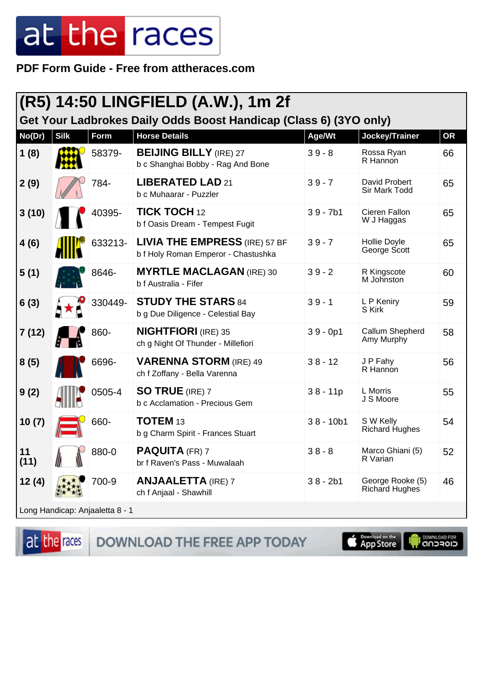PDF Form Guide - Free from attheraces.com

| (R5) 14:50 LINGFIELD (A.W.), 1m 2f<br>Get Your Ladbrokes Daily Odds Boost Handicap (Class 6) (3YO only) |             |                                 |                                                                             |             |                                    |           |
|---------------------------------------------------------------------------------------------------------|-------------|---------------------------------|-----------------------------------------------------------------------------|-------------|------------------------------------|-----------|
| No(Dr)                                                                                                  | <b>Silk</b> | <b>Form</b>                     | <b>Horse Details</b>                                                        | Age/Wt      | Jockey/Trainer                     | <b>OR</b> |
| 1(8)                                                                                                    |             | 58379-                          | <b>BEIJING BILLY (IRE) 27</b><br>b c Shanghai Bobby - Rag And Bone          | $39 - 8$    | Rossa Ryan<br>R Hannon             | 66        |
| 2(9)                                                                                                    |             | 784-                            | LIBERATED LAD 21<br>b c Muhaarar - Puzzler                                  | $39 - 7$    | David Probert<br>Sir Mark Todd     | 65        |
| 3(10)                                                                                                   |             | 40395-                          | <b>TICK TOCH 12</b><br>b f Oasis Dream - Tempest Fugit                      | $39 - 7b1$  | Cieren Fallon<br>W J Haggas        | 65        |
| 4(6)                                                                                                    |             | 633213-                         | <b>LIVIA THE EMPRESS (IRE) 57 BF</b><br>b f Holy Roman Emperor - Chastushka | $39 - 7$    | Hollie Doyle<br>George Scott       | 65        |
| 5(1)                                                                                                    |             | 8646-                           | <b>MYRTLE MACLAGAN (IRE) 30</b><br>b f Australia - Fifer                    | $39 - 2$    | R Kingscote<br>M Johnston          | 60        |
| 6(3)                                                                                                    |             | 330449-                         | <b>STUDY THE STARS 84</b><br>b g Due Diligence - Celestial Bay              | $39 - 1$    | L P Keniry<br>S Kirk               | 59        |
| 7(12)                                                                                                   |             | 860-                            | <b>NIGHTFIORI</b> (IRE) 35<br>ch g Night Of Thunder - Millefiori            | $39 - 0p1$  | Callum Shepherd<br>Amy Murphy      | 58        |
| 8(5)                                                                                                    |             | 6696-                           | <b>VARENNA STORM (IRE) 49</b><br>ch f Zoffany - Bella Varenna               | $38 - 12$   | J P Fahy<br>R Hannon               | 56        |
| 9(2)                                                                                                    |             | 0505-4                          | <b>SO TRUE</b> (IRE) 7<br>b c Acclamation - Precious Gem                    | $38 - 11p$  | L Morris<br>J S Moore              | 55        |
| 10(7)                                                                                                   |             | 660-                            | TOTEM <sub>13</sub><br>b g Charm Spirit - Frances Stuart                    | $38 - 10b1$ | S W Kelly<br><b>Richard Hughes</b> | 54        |
| 11<br>(11)                                                                                              |             | 880-0                           | <b>PAQUITA</b> (FR) 7<br>br f Raven's Pass - Muwalaah                       | $38 - 8$    | Marco Ghiani (5)<br>R Varian       | 52        |
| 12(4)                                                                                                   |             | 700-9                           | <b>ANJAALETTA (IRE) 7</b><br>ch f Anjaal - Shawhill                         | $38 - 2b1$  | George Rooke (5)<br>Richard Hughes | 46        |
|                                                                                                         |             | Long Handicap: Anjaaletta 8 - 1 |                                                                             |             |                                    |           |

at the races

DOWNLOAD THE FREE APP TODAY

Download on the

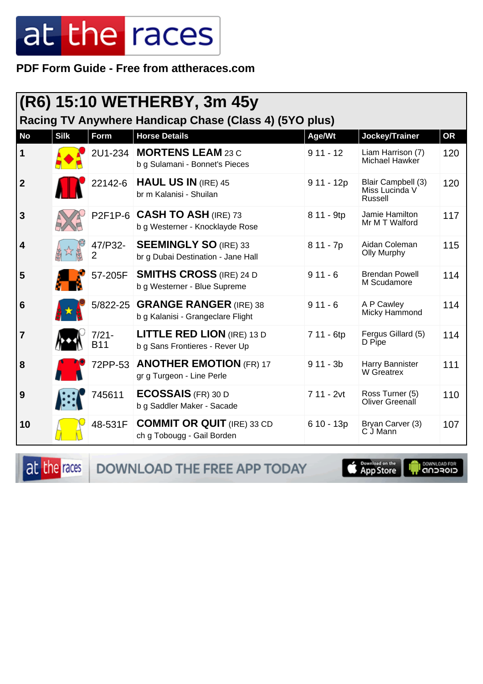PDF Form Guide - Free from attheraces.com

| (R6) 15:10 WETHERBY, 3m 45y<br>Racing TV Anywhere Handicap Chase (Class 4) (5YO plus) |             |                           |                                                                        |             |                                                 |           |  |  |
|---------------------------------------------------------------------------------------|-------------|---------------------------|------------------------------------------------------------------------|-------------|-------------------------------------------------|-----------|--|--|
| <b>No</b>                                                                             | <b>Silk</b> | Form                      | <b>Horse Details</b>                                                   | Age/Wt      | Jockey/Trainer                                  | <b>OR</b> |  |  |
|                                                                                       |             |                           |                                                                        |             |                                                 |           |  |  |
| 1                                                                                     |             | 2U1-234                   | <b>MORTENS LEAM 23 C</b><br>b g Sulamani - Bonnet's Pieces             | $911 - 12$  | Liam Harrison (7)<br>Michael Hawker             | 120       |  |  |
| $\boldsymbol{2}$                                                                      |             | 22142-6                   | <b>HAUL US IN (IRE) 45</b><br>br m Kalanisi - Shuilan                  | $911 - 12p$ | Blair Campbell (3)<br>Miss Lucinda V<br>Russell | 120       |  |  |
| 3                                                                                     |             |                           | P2F1P-6 <b>CASH TO ASH</b> (IRE) 73<br>b g Westerner - Knocklayde Rose | 8 11 - 9tp  | Jamie Hamilton<br>Mr M T Walford                | 117       |  |  |
| 4                                                                                     |             | 47/P32-<br>$\overline{2}$ | <b>SEEMINGLY SO (IRE) 33</b><br>br g Dubai Destination - Jane Hall     | $811 - 7p$  | Aidan Coleman<br><b>Olly Murphy</b>             | 115       |  |  |
| 5                                                                                     |             | 57-205F                   | <b>SMITHS CROSS (IRE) 24 D</b><br>b g Westerner - Blue Supreme         | $911 - 6$   | <b>Brendan Powell</b><br>M Scudamore            | 114       |  |  |
| 6                                                                                     |             | $5/822 - 25$              | <b>GRANGE RANGER (IRE) 38</b><br>b g Kalanisi - Grangeclare Flight     | $911 - 6$   | A P Cawley<br>Micky Hammond                     | 114       |  |  |
| $\overline{7}$                                                                        |             | 7/21-<br><b>B11</b>       | <b>LITTLE RED LION (IRE) 13 D</b><br>b g Sans Frontieres - Rever Up    | 7 11 - 6tp  | Fergus Gillard (5)<br>D Pipe                    | 114       |  |  |
| 8                                                                                     |             | 72PP-53                   | <b>ANOTHER EMOTION (FR) 17</b><br>gr g Turgeon - Line Perle            | $911 - 3b$  | Harry Bannister<br>W Greatrex                   | 111       |  |  |
| 9                                                                                     |             | 745611                    | <b>ECOSSAIS</b> (FR) 30 D<br>b g Saddler Maker - Sacade                | 7 11 - 2vt  | Ross Turner (5)<br>Oliver Greenall              | 110       |  |  |
| 10                                                                                    |             | 48-531F                   | <b>COMMIT OR QUIT (IRE) 33 CD</b><br>ch g Tobougg - Gail Borden        | $610 - 13p$ | Bryan Carver (3)<br>C J Mann                    | 107       |  |  |

at the races DOWNLOAD THE FREE APP TODAY

**Example of the App Store** 

il <sup>DownLGAD FOR</sup>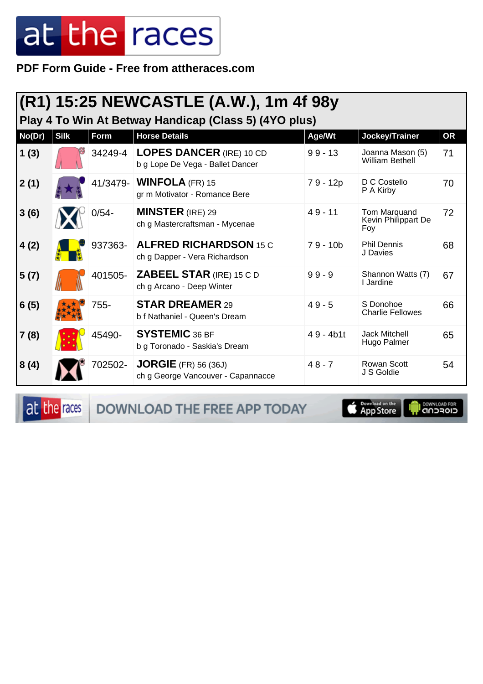PDF Form Guide - Free from attheraces.com

|        | (R1) 15:25 NEWCASTLE (A.W.), 1m 4f 98y<br>Play 4 To Win At Betway Handicap (Class 5) (4YO plus) |             |                                                                     |             |                                            |           |  |  |  |
|--------|-------------------------------------------------------------------------------------------------|-------------|---------------------------------------------------------------------|-------------|--------------------------------------------|-----------|--|--|--|
| No(Dr) | <b>Silk</b>                                                                                     | <b>Form</b> | <b>Horse Details</b>                                                | Age/Wt      | Jockey/Trainer                             | <b>OR</b> |  |  |  |
| 1(3)   |                                                                                                 | 34249-4     | <b>LOPES DANCER (IRE) 10 CD</b><br>b g Lope De Vega - Ballet Dancer | $99 - 13$   | Joanna Mason (5)<br><b>William Bethell</b> | 71        |  |  |  |
| 2(1)   |                                                                                                 |             | 41/3479- <b>WINFOLA</b> (FR) 15<br>gr m Motivator - Romance Bere    | 79 - 12p    | D C Costello<br>P A Kirby                  | 70        |  |  |  |
| 3(6)   |                                                                                                 | $0/54 -$    | <b>MINSTER</b> (IRE) 29<br>ch g Mastercraftsman - Mycenae           | $49 - 11$   | Tom Marquand<br>Kevin Philippart De<br>Foy | 72        |  |  |  |
| 4(2)   |                                                                                                 | 937363-     | <b>ALFRED RICHARDSON 15 C</b><br>ch g Dapper - Vera Richardson      | $79 - 10b$  | <b>Phil Dennis</b><br>J Davies             | 68        |  |  |  |
| 5(7)   |                                                                                                 | 401505-     | <b>ZABEEL STAR (IRE) 15 C D</b><br>ch g Arcano - Deep Winter        | $99 - 9$    | Shannon Watts (7)<br>I Jardine             | 67        |  |  |  |
| 6(5)   |                                                                                                 | 755-        | <b>STAR DREAMER 29</b><br>b f Nathaniel - Queen's Dream             | $49 - 5$    | S Donohoe<br><b>Charlie Fellowes</b>       | 66        |  |  |  |
| 7(8)   |                                                                                                 | 45490-      | <b>SYSTEMIC 36 BF</b><br>b g Toronado - Saskia's Dream              | $49 - 4b1t$ | Jack Mitchell<br>Hugo Palmer               | 65        |  |  |  |
| 8(4)   |                                                                                                 | 702502-     | $JORGIE$ (FR) 56 (36J)<br>ch g George Vancouver - Capannacce        | $48 - 7$    | <b>Rowan Scott</b><br>J S Goldie           | 54        |  |  |  |

at the races

DOWNLOAD THE FREE APP TODAY

**Example of the App Store** 

**I DOWNLOAD FOR**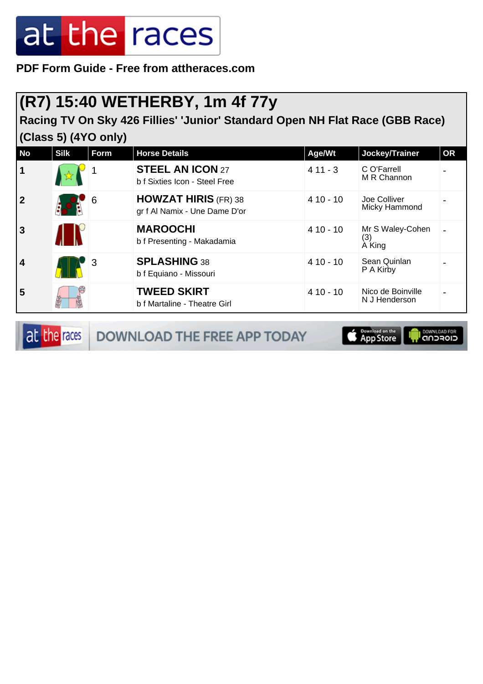**PDF Form Guide - Free from attheraces.com**

#### **(R7) 15:40 WETHERBY, 1m 4f 77y**

**Racing TV On Sky 426 Fillies' 'Junior' Standard Open NH Flat Race (GBB Race) (Class 5) (4YO only)**

| <b>No</b>               | <b>Silk</b> | Form | <b>Horse Details</b>                                         | Age/Wt     | Jockey/Trainer                     | <b>OR</b> |
|-------------------------|-------------|------|--------------------------------------------------------------|------------|------------------------------------|-----------|
| $\mathbf 1$             |             |      | <b>STEEL AN ICON 27</b><br>b f Sixties Icon - Steel Free     | $411 - 3$  | C O'Farrell<br>M R Channon         |           |
| $\overline{2}$          |             | 6    | <b>HOWZAT HIRIS (FR) 38</b><br>gr f Al Namix - Une Dame D'or | $410 - 10$ | Joe Colliver<br>Micky Hammond      |           |
| $\mathbf{3}$            |             |      | <b>MAROOCHI</b><br>b f Presenting - Makadamia                | $410 - 10$ | Mr S Waley-Cohen<br>(3)<br>A King  |           |
| $\overline{\mathbf{4}}$ |             | 3    | <b>SPLASHING 38</b><br>b f Equiano - Missouri                | $410 - 10$ | Sean Quinlan<br>P A Kirby          |           |
| 5                       |             |      | <b>TWEED SKIRT</b><br>b f Martaline - Theatre Girl           | $410 - 10$ | Nico de Boinville<br>N J Henderson |           |

at the races DOWNLOAD THE FREE APP TODAY

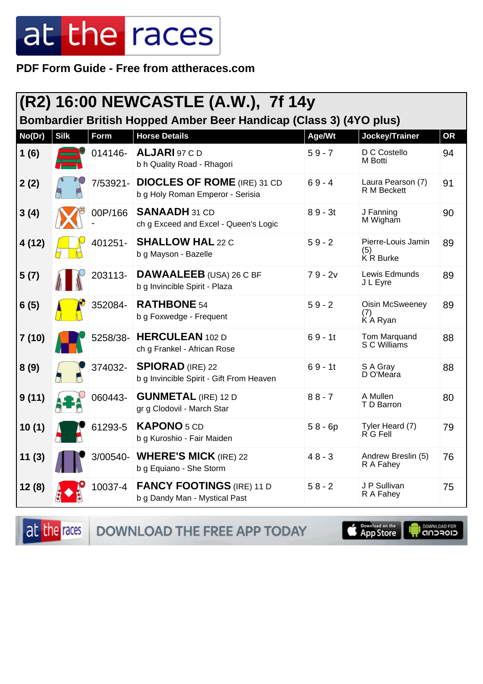PDF Form Guide - Free from attheraces.com

|        |             |          | (R2) 16:00 NEWCASTLE (A.W.), 7f 14y                                                        |           |                                          |           |
|--------|-------------|----------|--------------------------------------------------------------------------------------------|-----------|------------------------------------------|-----------|
| No(Dr) | <b>Silk</b> | Form     | Bombardier British Hopped Amber Beer Handicap (Class 3) (4YO plus)<br><b>Horse Details</b> | Age/Wt    | Jockey/Trainer                           | <b>OR</b> |
| 1(6)   |             | 014146-  | ALJARI 97 CD<br>b h Quality Road - Rhagori                                                 | $59 - 7$  | D C Costello<br>M Botti                  | 94        |
| 2(2)   |             | 7/53921- | <b>DIOCLES OF ROME</b> (IRE) 31 CD<br>b g Holy Roman Emperor - Serisia                     | $69 - 4$  | Laura Pearson (7)<br><b>R</b> M Beckett  | 91        |
| 3(4)   |             | 00P/166  | <b>SANAADH 31 CD</b><br>ch g Exceed and Excel - Queen's Logic                              | $89 - 3t$ | J Fanning<br>M Wigham                    | 90        |
| 4 (12) |             | 401251-  | <b>SHALLOW HAL 22 C</b><br>b g Mayson - Bazelle                                            | $59 - 2$  | Pierre-Louis Jamin<br>(5)<br>K R Burke   | 89        |
| 5(7)   |             | 203113-  | <b>DAWAALEEB</b> (USA) 26 C BF<br>b g Invincible Spirit - Plaza                            | 79-2v     | Lewis Edmunds<br>J L Eyre                | 89        |
| 6(5)   |             | 352084-  | <b>RATHBONE 54</b><br>b g Foxwedge - Frequent                                              | $59 - 2$  | <b>Oisin McSweeney</b><br>(7)<br>KA Ryan | 89        |
| 7 (10) |             | 5258/38- | <b>HERCULEAN</b> 102 D<br>ch g Frankel - African Rose                                      | $69 - 1t$ | Tom Marquand<br>S C Williams             | 88        |
| 8(9)   |             | 374032-  | <b>SPIORAD</b> (IRE) 22<br>b g Invincible Spirit - Gift From Heaven                        | $69 - 11$ | S A Gray<br>D O'Meara                    | 88        |
| 9(11)  |             | 060443-  | <b>GUNMETAL (IRE) 12 D</b><br>gr g Clodovil - March Star                                   | $88 - 7$  | A Mullen<br>T D Barron                   | 80        |
| 10(1)  |             | 61293-5  | <b>KAPONO</b> 5 CD<br>b g Kuroshio - Fair Maiden                                           | $58 - 6p$ | Tyler Heard (7)<br>R G Fell              | 79        |
| 11(3)  |             | 3/00540- | <b>WHERE'S MICK (IRE) 22</b><br>b g Equiano - She Storm                                    | $48 - 3$  | Andrew Breslin (5)<br>R A Fahey          | 76        |
| 12(8)  |             | 10037-4  | <b>FANCY FOOTINGS (IRE) 11 D</b><br>b g Dandy Man - Mystical Past                          | $58 - 2$  | J P Sullivan<br>R A Fahey                | 75        |

at the races DOWNLOAD THE FREE APP TODAY

App Store

I DOWNLOAD FOR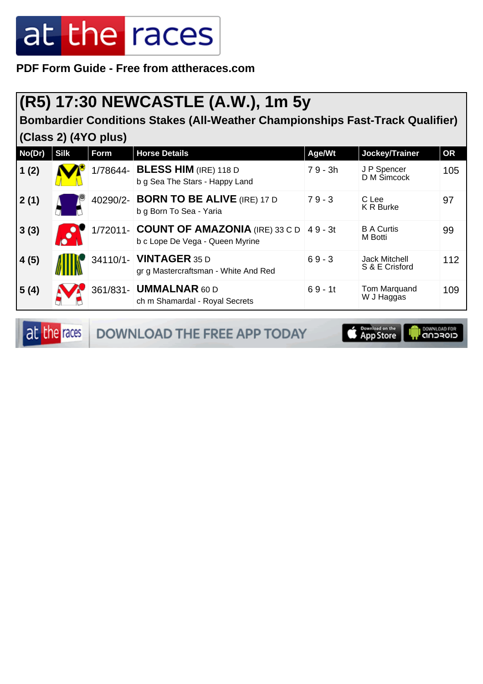#### **PDF Form Guide - Free from attheraces.com**

#### **(R5) 17:30 NEWCASTLE (A.W.), 1m 5y**

**Bombardier Conditions Stakes (All-Weather Championships Fast-Track Qualifier) (Class 2) (4YO plus)**

| No(Dr) | <b>Silk</b> | Form     | <b>Horse Details</b>                                                       | Age/Wt    | Jockey/Trainer                         | OR  |
|--------|-------------|----------|----------------------------------------------------------------------------|-----------|----------------------------------------|-----|
| 1(2)   |             | 1/78644- | <b>BLESS HIM (IRE) 118 D</b><br>b g Sea The Stars - Happy Land             | $79 - 3h$ | J P Spencer<br>D M Simcock             | 105 |
| 2(1)   |             |          | 40290/2- BORN TO BE ALIVE (IRE) 17 D<br>b g Born To Sea - Yaria            | $79 - 3$  | C Lee<br><b>K R Burke</b>              | 97  |
| 3(3)   |             |          | 1/72011- COUNT OF AMAZONIA (IRE) 33 C D<br>b c Lope De Vega - Queen Myrine | 49 - 3t   | <b>B A Curtis</b><br>M Botti           | 99  |
| 4(5)   |             |          | 34110/1- <b>VINTAGER</b> 35 D<br>gr g Mastercraftsman - White And Red      | $69 - 3$  | <b>Jack Mitchell</b><br>S & E Crisford | 112 |
| 5(4)   |             |          | 361/831- <b>UMMALNAR</b> 60 D<br>ch m Shamardal - Royal Secrets            | $69 - 11$ | Tom Marquand<br>W J Haggas             | 109 |

at the races

DOWNLOAD THE FREE APP TODAY